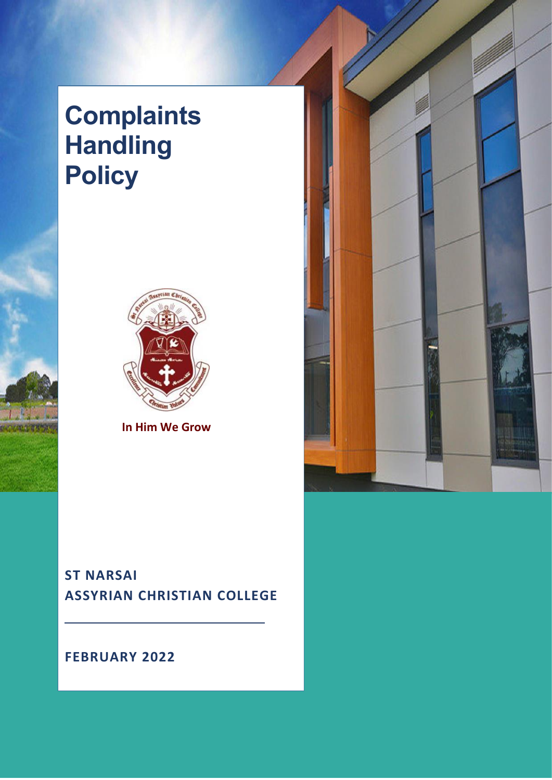# **Complaints Handling Policy**



**In Him We Grow**

# **ST NARSAI ASSYRIAN CHRISTIAN COLLEGE**

**FEBRUARY 2022**

 $\overline{1}$ 

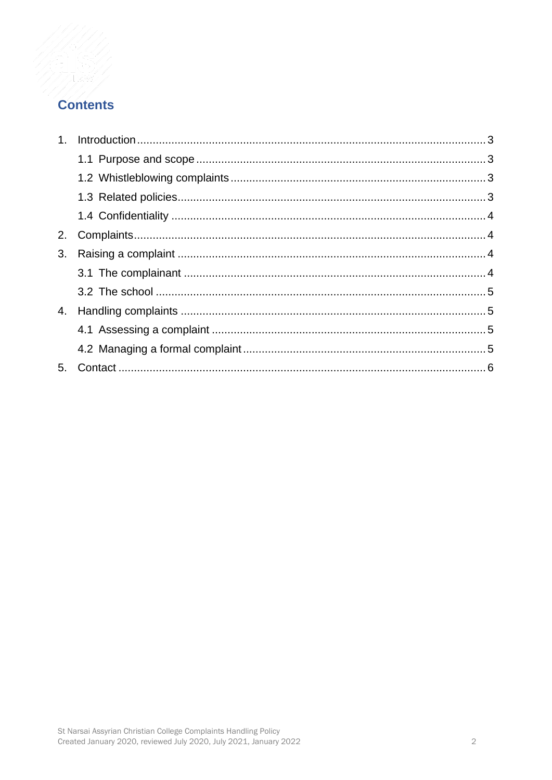## **Contents**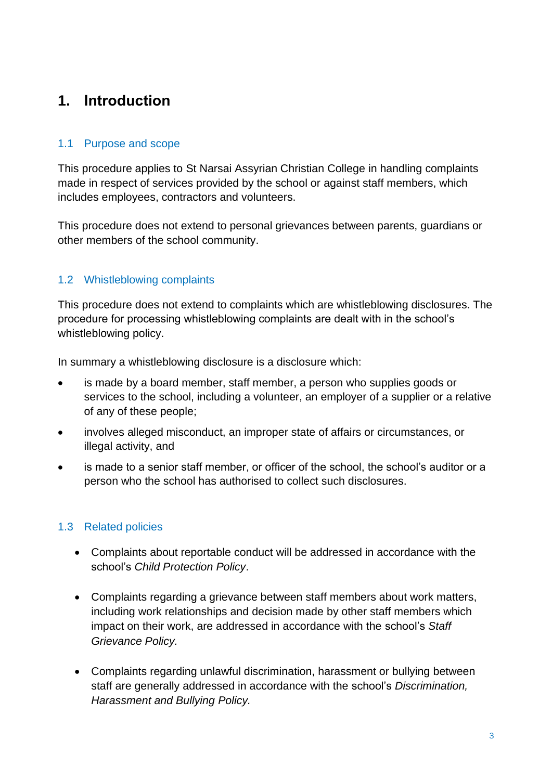# <span id="page-2-0"></span>**1. Introduction**

## <span id="page-2-1"></span>1.1 Purpose and scope

This procedure applies to St Narsai Assyrian Christian College in handling complaints made in respect of services provided by the school or against staff members, which includes employees, contractors and volunteers.

This procedure does not extend to personal grievances between parents, guardians or other members of the school community.

## <span id="page-2-2"></span>1.2 Whistleblowing complaints

This procedure does not extend to complaints which are whistleblowing disclosures. The procedure for processing whistleblowing complaints are dealt with in the school's whistleblowing policy.

In summary a whistleblowing disclosure is a disclosure which:

- is made by a board member, staff member, a person who supplies goods or services to the school, including a volunteer, an employer of a supplier or a relative of any of these people;
- involves alleged misconduct, an improper state of affairs or circumstances, or illegal activity, and
- is made to a senior staff member, or officer of the school, the school's auditor or a person who the school has authorised to collect such disclosures.

#### <span id="page-2-3"></span>1.3 Related policies

- Complaints about reportable conduct will be addressed in accordance with the school's *Child Protection Policy*.
- Complaints regarding a grievance between staff members about work matters, including work relationships and decision made by other staff members which impact on their work, are addressed in accordance with the school's *Staff Grievance Policy.*
- Complaints regarding unlawful discrimination, harassment or bullying between staff are generally addressed in accordance with the school's *Discrimination, Harassment and Bullying Policy.*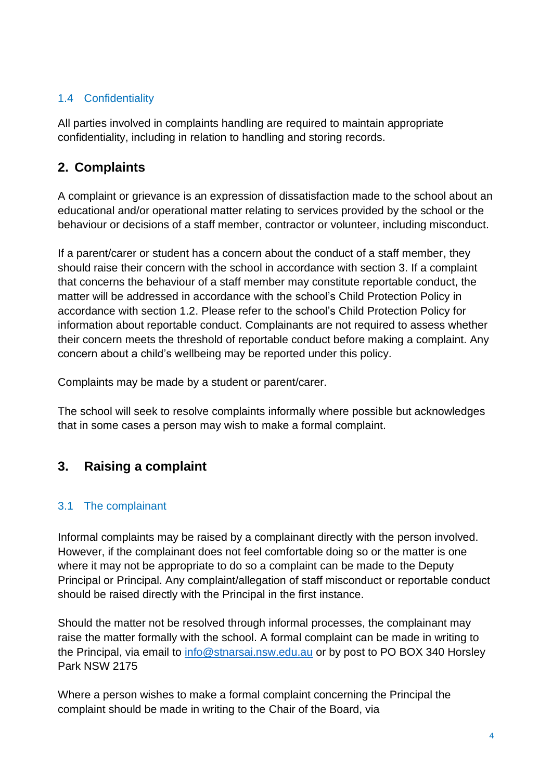## <span id="page-3-0"></span>1.4 Confidentiality

<span id="page-3-1"></span>All parties involved in complaints handling are required to maintain appropriate confidentiality, including in relation to handling and storing records.

## **2. Complaints**

A complaint or grievance is an expression of dissatisfaction made to the school about an educational and/or operational matter relating to services provided by the school or the behaviour or decisions of a staff member, contractor or volunteer, including misconduct.

If a parent/carer or student has a concern about the conduct of a staff member, they should raise their concern with the school in accordance with section 3. If a complaint that concerns the behaviour of a staff member may constitute reportable conduct, the matter will be addressed in accordance with the school's Child Protection Policy in accordance with section 1.2. Please refer to the school's Child Protection Policy for information about reportable conduct. Complainants are not required to assess whether their concern meets the threshold of reportable conduct before making a complaint. Any concern about a child's wellbeing may be reported under this policy.

Complaints may be made by a student or parent/carer.

The school will seek to resolve complaints informally where possible but acknowledges that in some cases a person may wish to make a formal complaint.

## <span id="page-3-2"></span>**3. Raising a complaint**

## <span id="page-3-3"></span>3.1 The complainant

Informal complaints may be raised by a complainant directly with the person involved. However, if the complainant does not feel comfortable doing so or the matter is one where it may not be appropriate to do so a complaint can be made to the Deputy Principal or Principal. Any complaint/allegation of staff misconduct or reportable conduct should be raised directly with the Principal in the first instance.

Should the matter not be resolved through informal processes, the complainant may raise the matter formally with the school. A formal complaint can be made in writing to the Principal, via email to [info@stnarsai.nsw.edu.au](mailto:info@stnarsai.nsw.edu.au) or by post to PO BOX 340 Horsley Park NSW 2175

Where a person wishes to make a formal complaint concerning the Principal the complaint should be made in writing to the Chair of the Board, via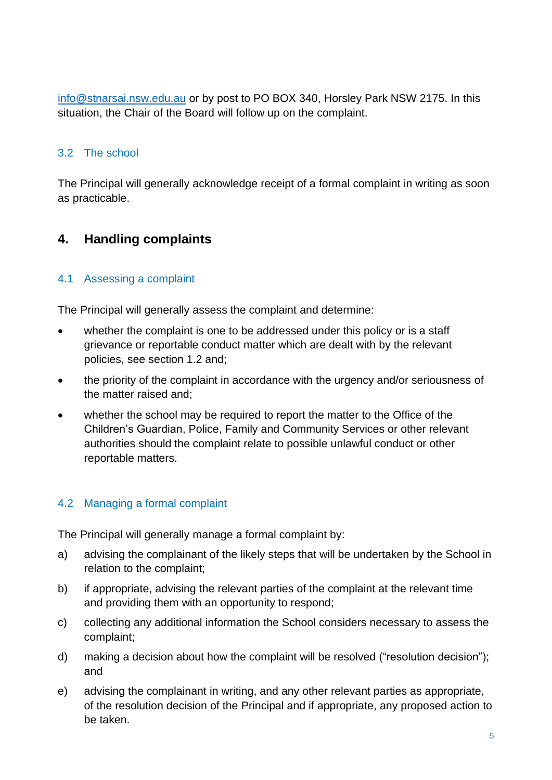[info@stnarsai.nsw.edu.au](mailto:info@stnarsai.nsw.edu.au) or by post to PO BOX 340, Horsley Park NSW 2175. In this situation, the Chair of the Board will follow up on the complaint.

## <span id="page-4-0"></span>3.2 The school

The Principal will generally acknowledge receipt of a formal complaint in writing as soon as practicable.

## <span id="page-4-1"></span>**4. Handling complaints**

#### <span id="page-4-2"></span>4.1 Assessing a complaint

The Principal will generally assess the complaint and determine:

- whether the complaint is one to be addressed under this policy or is a staff grievance or reportable conduct matter which are dealt with by the relevant policies, see section 1.2 and;
- the priority of the complaint in accordance with the urgency and/or seriousness of the matter raised and;
- whether the school may be required to report the matter to the Office of the Children's Guardian, Police, Family and Community Services or other relevant authorities should the complaint relate to possible unlawful conduct or other reportable matters.

#### <span id="page-4-3"></span>4.2 Managing a formal complaint

The Principal will generally manage a formal complaint by:

- a) advising the complainant of the likely steps that will be undertaken by the School in relation to the complaint;
- b) if appropriate, advising the relevant parties of the complaint at the relevant time and providing them with an opportunity to respond;
- c) collecting any additional information the School considers necessary to assess the complaint;
- d) making a decision about how the complaint will be resolved ("resolution decision"); and
- e) advising the complainant in writing, and any other relevant parties as appropriate, of the resolution decision of the Principal and if appropriate, any proposed action to be taken.